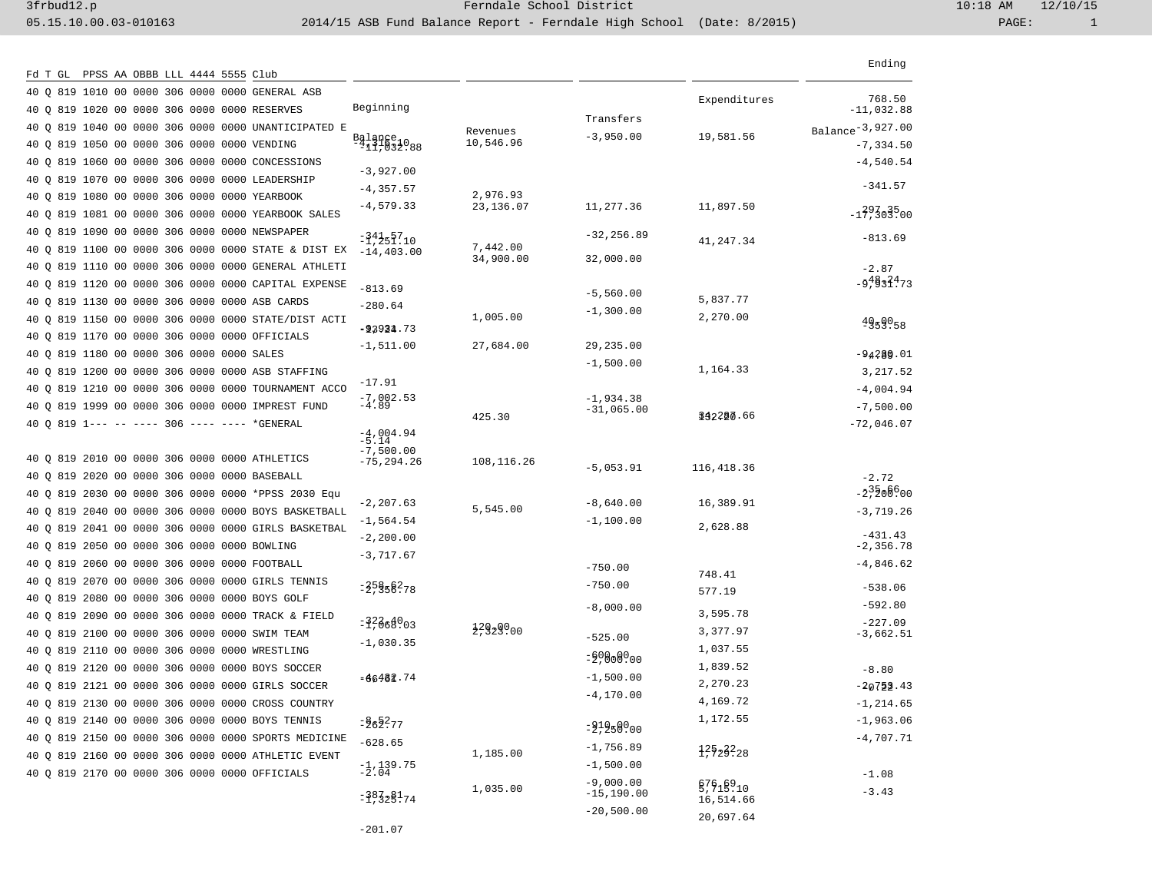|  |  |  |  | Fd T GL  PPSS AA OBBB LLL 4444 5555 Club            |                                      |                        |                          |              | Ending                       |
|--|--|--|--|-----------------------------------------------------|--------------------------------------|------------------------|--------------------------|--------------|------------------------------|
|  |  |  |  | 40 O 819 1010 00 0000 306 0000 0000 GENERAL ASB     |                                      |                        |                          |              | 768.50                       |
|  |  |  |  | 40 0 819 1020 00 0000 306 0000 0000 RESERVES        | Beginning                            |                        |                          | Expenditures | $-11,032.88$                 |
|  |  |  |  | 40 O 819 1040 00 0000 306 0000 0000 UNANTICIPATED E |                                      | Revenues               | Transfers<br>$-3,950.00$ | 19,581.56    | Balance <sup>-3,927.00</sup> |
|  |  |  |  | 40 0 819 1050 00 0000 306 0000 0000 VENDING         | $\frac{Ba1qne}{11,032.88}$           | 10,546.96              |                          |              | $-7, 334.50$                 |
|  |  |  |  | 40 O 819 1060 00 0000 306 0000 0000 CONCESSIONS     | $-3,927.00$                          |                        |                          |              | $-4,540.54$                  |
|  |  |  |  | 40 O 819 1070 00 0000 306 0000 0000 LEADERSHIP      | $-4,357.57$                          |                        |                          |              | $-341.57$                    |
|  |  |  |  | 40 O 819 1080 00 0000 306 0000 0000 YEARBOOK        | $-4,579.33$                          | 2,976.93<br>23, 136.07 | 11,277.36                | 11,897.50    |                              |
|  |  |  |  | 40 O 819 1081 00 0000 306 0000 0000 YEARBOOK SALES  |                                      |                        |                          |              | $-139303500$                 |
|  |  |  |  | 40 O 819 1090 00 0000 306 0000 0000 NEWSPAPER       | =14457.10                            |                        | $-32, 256.89$            | 41,247.34    | $-813.69$                    |
|  |  |  |  | 40 O 819 1100 00 0000 306 0000 0000 STATE & DIST EX | $-14, 403.00$                        | 7,442.00<br>34,900.00  | 32,000.00                |              |                              |
|  |  |  |  | 40 O 819 1110 00 0000 306 0000 0000 GENERAL ATHLETI |                                      |                        |                          |              | $-2.87$                      |
|  |  |  |  | 40 O 819 1120 00 0000 306 0000 0000 CAPITAL EXPENSE | $-813.69$                            |                        | $-5,560.00$              |              | $-5.9832173$                 |
|  |  |  |  | 40 O 819 1130 00 0000 306 0000 0000 ASB CARDS       | $-280.64$                            |                        | $-1,300.00$              | 5,837.77     |                              |
|  |  |  |  | 40 Q 819 1150 00 0000 306 0000 0000 STATE/DIST ACTI | $= 23924.73$                         | 1,005.00               |                          | 2,270.00     | 4959058                      |
|  |  |  |  | 40 O 819 1170 00 0000 306 0000 0000 OFFICIALS       | $-1,511.00$                          | 27,684.00              | 29,235.00                |              |                              |
|  |  |  |  | 40 O 819 1180 00 0000 306 0000 0000 SALES           |                                      |                        | $-1,500.00$              |              | $-94289.01$                  |
|  |  |  |  | 40 O 819 1200 00 0000 306 0000 0000 ASB STAFFING    | $-17.91$                             |                        |                          | 1,164.33     | 3,217.52                     |
|  |  |  |  | 40 O 819 1210 00 0000 306 0000 0000 TOURNAMENT ACCO | $-7,002.53$<br>$-4.89$               |                        | $-1,934.38$              |              | $-4,004.94$                  |
|  |  |  |  | 40 O 819 1999 00 0000 306 0000 0000 IMPREST FUND    |                                      | 425.30                 | $-31,065.00$             | 142200.66    | $-7,500.00$                  |
|  |  |  |  | 40 O 819 1--- -- ---- 306 ---- ---- *GENERAL        | $-4,004.94$                          |                        |                          |              | $-72,046.07$                 |
|  |  |  |  |                                                     | $-7,500.00$                          |                        |                          |              |                              |
|  |  |  |  | 40 0 819 2010 00 0000 306 0000 0000 ATHLETICS       | -75,294.26                           | 108,116.26             | $-5,053.91$              | 116,418.36   |                              |
|  |  |  |  | 40 O 819 2020 00 0000 306 0000 0000 BASEBALL        |                                      |                        |                          |              | $-2.72$                      |
|  |  |  |  | 40 Q 819 2030 00 0000 306 0000 0000 *PPSS 2030 Equ  | $-2, 207.63$                         |                        | $-8,640.00$              | 16,389.91    | $-2,20000$                   |
|  |  |  |  | 40 O 819 2040 00 0000 306 0000 0000 BOYS BASKETBALL | -1,564.54                            | 5,545.00               | $-1,100.00$              |              | $-3,719.26$                  |
|  |  |  |  | 40 Q 819 2041 00 0000 306 0000 0000 GIRLS BASKETBAL | $-2,200.00$                          |                        |                          | 2,628.88     | $-431.43$                    |
|  |  |  |  | 40 Q 819 2050 00 0000 306 0000 0000 BOWLING         | $-3,717.67$                          |                        |                          |              | $-2,356.78$                  |
|  |  |  |  | 40 Q 819 2060 00 0000 306 0000 0000 FOOTBALL        |                                      |                        | $-750.00$                | 748.41       | $-4,846.62$                  |
|  |  |  |  | 40 Q 819 2070 00 0000 306 0000 0000 GIRLS TENNIS    | $= 25858278$                         |                        | $-750.00$                | 577.19       | $-538.06$                    |
|  |  |  |  | 40 O 819 2080 00 0000 306 0000 0000 BOYS GOLF       |                                      |                        | $-8,000.00$              |              | $-592.80$                    |
|  |  |  |  | 40 Q 819 2090 00 0000 306 0000 0000 TRACK & FIELD   | $=$ $\frac{32}{669}$ .03             | 2.929000               |                          | 3,595.78     | $-227.09$                    |
|  |  |  |  | 40 Q 819 2100 00 0000 306 0000 0000 SWIM TEAM       | $-1,030.35$                          |                        | $-525.00$                | 3,377.97     | $-3,662.51$                  |
|  |  |  |  | 40 Q 819 2110 00 0000 306 0000 0000 WRESTLING       |                                      |                        | $= 50808000$             | 1,037.55     |                              |
|  |  |  |  | 40 O 819 2120 00 0000 306 0000 0000 BOYS SOCCER     | $=66482.74$                          |                        | $-1,500.00$              | 1,839.52     | $-8.80$                      |
|  |  |  |  | 40 Q 819 2121 00 0000 306 0000 0000 GIRLS SOCCER    |                                      |                        | $-4, 170.00$             | 2,270.23     | $-20753.43$                  |
|  |  |  |  | 40 Q 819 2130 00 0000 306 0000 0000 CROSS COUNTRY   |                                      |                        |                          | 4,169.72     | $-1, 214.65$                 |
|  |  |  |  | 40 Q 819 2140 00 0000 306 0000 0000 BOYS TENNIS     | $= 262.77$                           |                        | $= 2, 258, 000$          | 1,172.55     | $-1,963.06$                  |
|  |  |  |  | 40 Q 819 2150 00 0000 306 0000 0000 SPORTS MEDICINE | $-628.65$                            |                        | $-1,756.89$              | 1252328      | $-4,707.71$                  |
|  |  |  |  | 40 Q 819 2160 00 0000 306 0000 0000 ATHLETIC EVENT  | $\frac{-1}{2}$ , 139.75<br>-2.04     | 1,185.00               | $-1,500.00$              |              |                              |
|  |  |  |  | 40 Q 819 2170 00 0000 306 0000 0000 OFFICIALS       |                                      |                        | $-9,000.00$              | 57915910     | $-1.08$                      |
|  |  |  |  |                                                     | $=$ $\frac{383}{25}$ $\frac{81}{74}$ | 1,035.00               | $-15, 190.00$            | 16,514.66    | $-3.43$                      |
|  |  |  |  |                                                     |                                      |                        | $-20,500.00$             | 20,697.64    |                              |

-201.07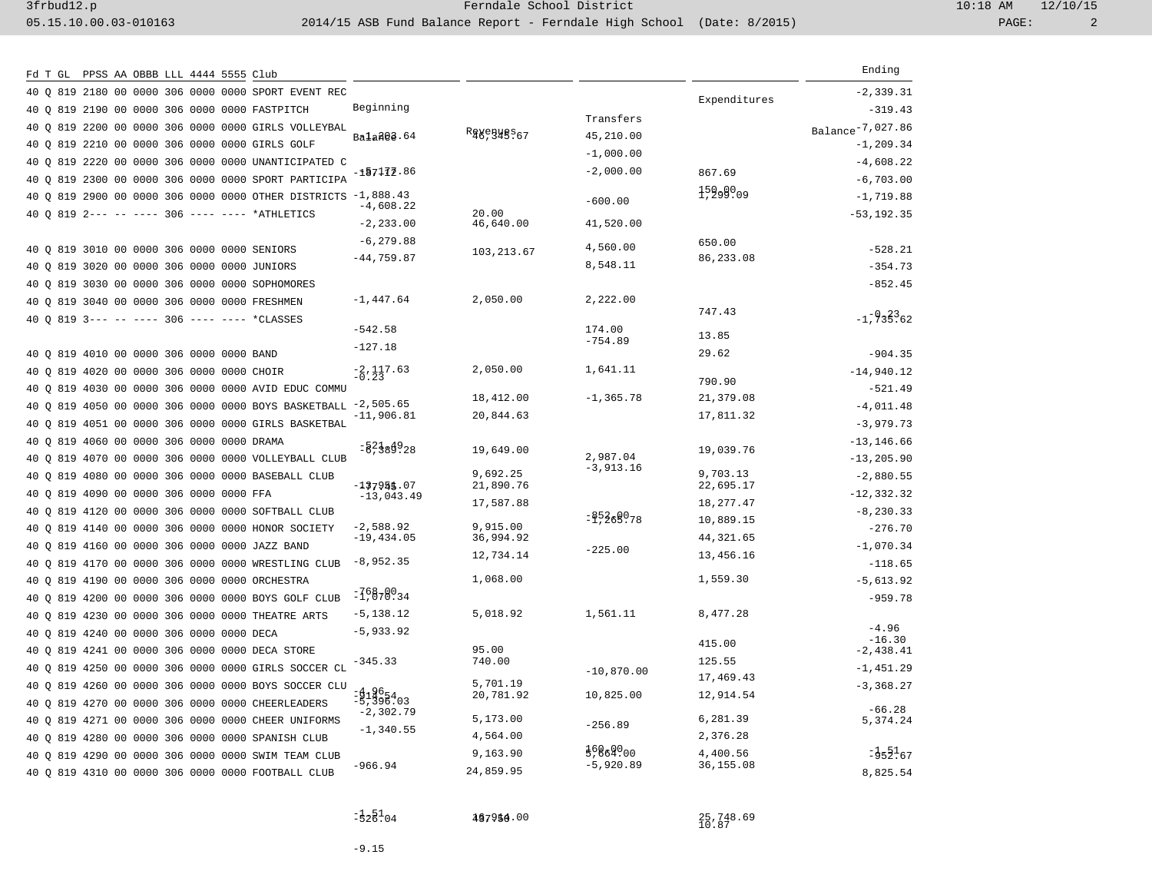| PPSS AA OBBB LLL 4444 5555 Club<br>Fd T GL              |                     |                                                                 |             |               |              | Ending                       |
|---------------------------------------------------------|---------------------|-----------------------------------------------------------------|-------------|---------------|--------------|------------------------------|
| 40 0 819 2180 00 0000 306 0000 0000 SPORT EVENT REC     |                     |                                                                 |             |               |              | $-2, 339.31$                 |
| 40 Q 819 2190 00 0000 306 0000 0000 FASTPITCH           |                     | Beginning                                                       |             |               | Expenditures | $-319.43$                    |
| 40 Q 819 2200 00 0000 306 0000 0000 GIRLS VOLLEYBAL     |                     |                                                                 |             | Transfers     |              | Balance <sup>-7,027.86</sup> |
| 40 0 819 2210 00 0000 306 0000 0000 GIRLS GOLF          |                     | Ba1a202.64                                                      | Rggegyes.67 | 45,210.00     |              | $-1, 209.34$                 |
| 40 0 819 2220 00 0000 306 0000 0000 UNANTICIPATED C     |                     |                                                                 |             | $-1,000.00$   |              | $-4,608.22$                  |
| 40 Q 819 2300 00 0000 306 0000 0000 SPORT PARTICIPA     |                     | $-157172.86$                                                    |             | $-2,000.00$   | 867.69       | $-6,703.00$                  |
| 40 0 819 2900 00 0000 306 0000 0000 OTHER DISTRICTS     |                     | $-1,888.43$                                                     |             | $-600.00$     | 15299009     | $-1,719.88$                  |
| 40 0 819 2--- -- ---- 306 ---- ---- *ATHLETICS          |                     | $-4,608.22$                                                     | 20.00       |               |              | $-53, 192.35$                |
|                                                         |                     | $-2, 233.00$                                                    | 46,640.00   | 41,520.00     |              |                              |
| 40 Q 819 3010 00 0000 306 0000 0000 SENIORS             |                     | $-6, 279.88$                                                    | 103,213.67  | 4,560.00      | 650.00       | $-528.21$                    |
| 40 0 819 3020 00 0000 306 0000 0000 JUNIORS             |                     | $-44,759.87$                                                    |             | 8,548.11      | 86,233.08    | $-354.73$                    |
| 819 3030 00 0000 306 0000 0000 SOPHOMORES<br>40 O       |                     |                                                                 |             |               |              | $-852.45$                    |
| 40 0 819 3040 00 0000 306 0000 0000 FRESHMEN            |                     | $-1,447.64$                                                     | 2,050.00    | 2,222.00      |              |                              |
| 40 0 819 3--- -- ---- 306 ---- ---- *CLASSES            |                     |                                                                 |             |               | 747.43       | $-1, -933362$                |
|                                                         |                     | $-542.58$                                                       |             | 174.00        | 13.85        |                              |
| 40 0 819 4010 00 0000 306 0000 0000 BAND                |                     | $-127.18$                                                       |             | $-754.89$     | 29.62        | $-904.35$                    |
| 40 0 819 4020 00 0000 306 0000 0000 CHOIR               |                     | $-2, 117.63$                                                    | 2,050.00    | 1,641.11      |              | $-14,940.12$                 |
| 819 4030 00 0000 306 0000 0000 AVID EDUC COMMU<br>40 O  |                     |                                                                 |             |               | 790.90       | $-521.49$                    |
| 40 0 819 4050 00 0000 306 0000 0000 BOYS BASKETBALL     |                     | $-2,505.65$                                                     | 18,412.00   | $-1, 365.78$  | 21,379.08    | $-4,011.48$                  |
| 819 4051 00 0000 306 0000 0000 GIRLS BASKETBAL<br>40 O  |                     | $-11,906.81$                                                    | 20,844.63   |               | 17,811.32    | $-3,979.73$                  |
| 819 4060 00 0000 306 0000 0000 DRAMA<br>40 O            |                     |                                                                 |             |               |              | $-13, 146.66$                |
| 819 4070 00 0000 306 0000 0000 VOLLEYBALL CLUB<br>40 O  |                     | $=$ $238928$                                                    | 19,649.00   | 2,987.04      | 19,039.76    | $-13, 205.90$                |
| 00 0000 306 0000 0000 BASEBALL CLUB<br>819 4080<br>40 O |                     |                                                                 | 9,692.25    | $-3,913.16$   | 9,703.13     | $-2,880.55$                  |
| 40 0 819 4090 00 0000 306 0000 0000 FFA                 |                     | $-137954.07$                                                    | 21,890.76   |               | 22,695.17    | $-12, 332.32$                |
| 819 4120 00 0000 306 0000 0000 SOFTBALL CLUB<br>40 O    |                     | $-13,043.49$                                                    | 17,587.88   |               | 18,277.47    | $-8, 230.33$                 |
| 819 4140 00 0000 306 0000 0000 HONOR SOCIETY<br>40 O    |                     | $-2,588.92$                                                     | 9,915.00    | $=$ \$5269078 | 10,889.15    | $-276.70$                    |
| 40 0 819 4160 00 0000 306 0000 0000 JAZZ BAND           |                     | $-19, 434.05$                                                   | 36,994.92   |               | 44, 321.65   | $-1,070.34$                  |
| 819 4170 00 0000 306 0000<br>40 O                       | 0000 WRESTLING CLUB | $-8,952.35$                                                     | 12,734.14   | $-225.00$     | 13,456.16    | $-118.65$                    |
| 40 0 819 4190 00 0000 306 0000 0000 ORCHESTRA           |                     |                                                                 | 1,068.00    |               | 1,559.30     | $-5,613.92$                  |
| 819 4200 00 0000 306 0000 0000 BOYS GOLF CLUB<br>40 O   |                     | $= 75878934$                                                    |             |               |              | $-959.78$                    |
| 819 4230 00 0000 306 0000 0000 THEATRE ARTS<br>40 O     |                     | $-5, 138.12$                                                    | 5,018.92    | 1,561.11      | 8,477.28     |                              |
| 40 0 819 4240 00 0000 306 0000 0000 DECA                |                     | $-5,933.92$                                                     |             |               |              | $-4.96$                      |
| 819 4241 00 0000 306 0000 0000 DECA STORE<br>40 O       |                     |                                                                 | 95.00       |               | 415.00       | $-16.30$<br>$-2,438.41$      |
| 40 Q 819 4250 00 0000 306 0000 0000 GIRLS SOCCER CL     |                     | $-345.33$                                                       | 740.00      |               | 125.55       | $-1, 451.29$                 |
| 819 4260 00 0000 306 0000 0000 BOYS SOCCER CLU<br>40 O  |                     |                                                                 | 5,701.19    | $-10,870.00$  | 17,469.43    | $-3, 368.27$                 |
| 40 0 819 4270 00 0000 306 0000 0000 CHEERLEADERS        |                     | $\frac{14}{5}$ , $\frac{96}{3}$ , $\frac{4}{3}$ , $\frac{6}{3}$ | 20,781.92   | 10,825.00     | 12,914.54    |                              |
| 40 0 819 4271 00 0000 306 0000 0000 CHEER UNIFORMS      |                     | $-2,302.79$                                                     | 5,173.00    |               | 6,281.39     | $-66.28$<br>5,374.24         |
| 40 0 819 4280 00 0000 306 0000 0000 SPANISH CLUB        |                     | $-1, 340.55$                                                    | 4,564.00    | $-256.89$     | 2,376.28     |                              |
| 40 0 819 4290 00 0000 306 0000 0000 SWIM TEAM CLUB      |                     |                                                                 | 9,163.90    | 5,864.00      | 4,400.56     | $-352.67$                    |
| 40 0 819 4310 00 0000 306 0000 0000 FOOTBALL CLUB       |                     | $-966.94$                                                       | 24,859.95   | $-5,920.89$   | 36,155.08    | 8,825.54                     |
|                                                         |                     |                                                                 |             |               |              |                              |

497956.00

25,748.69<br>10.87

-1.51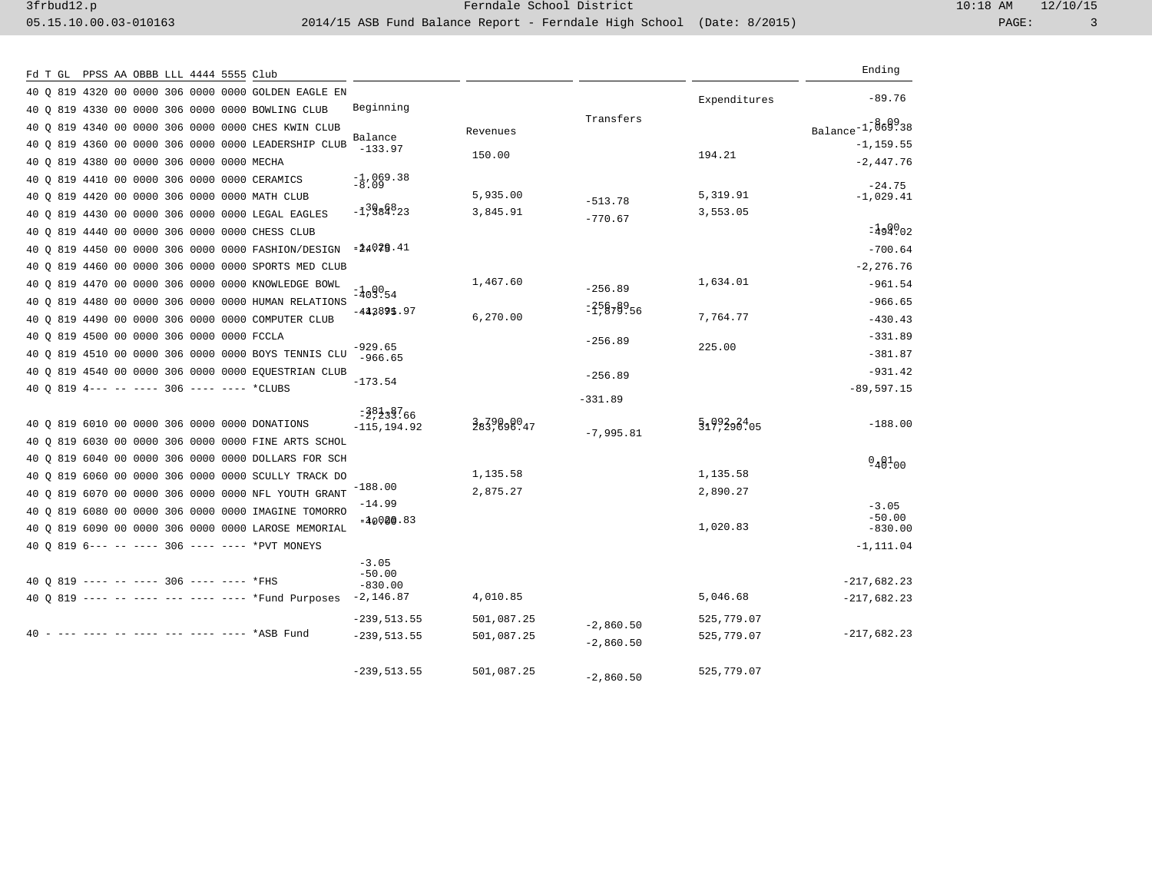| Fd T GL PPSS AA OBBB LLL 4444 5555 Club                |                                  |            |              |              | Ending                |
|--------------------------------------------------------|----------------------------------|------------|--------------|--------------|-----------------------|
| 40 0 819 4320 00 0000 306 0000 0000 GOLDEN EAGLE EN    |                                  |            |              | Expenditures | $-89.76$              |
| 40 Q 819 4330 00 0000 306 0000 0000 BOWLING CLUB       | Beginning                        |            | Transfers    |              |                       |
| 40 Q 819 4340 00 0000 306 0000 0000 CHES KWIN CLUB     |                                  | Revenues   |              |              | $Balance^{-1,869338}$ |
| 40 0 819 4360 00 0000 306 0000 0000 LEADERSHIP CLUB    | Balance<br>$-133.97$             |            |              |              | $-1, 159.55$          |
| 40 Q 819 4380 00 0000 306 0000 0000 MECHA              |                                  | 150.00     |              | 194.21       | $-2,447.76$           |
| 40 0 819 4410 00 0000 306 0000 0000 CERAMICS           | $\frac{-1}{-8}$ , 069.38         |            |              |              | $-24.75$              |
| 40 Q 819 4420 00 0000 306 0000 0000 MATH CLUB          |                                  | 5,935.00   | $-513.78$    | 5,319.91     | $-1,029.41$           |
| 40 0 819 4430 00 0000 306 0000 0000 LEGAL EAGLES       | $-\bar{1}$ , $\frac{3986323}{8}$ | 3,845.91   | $-770.67$    | 3,553.05     |                       |
| 40 0 819 4440 00 0000 306 0000 0000 CHESS CLUB         |                                  |            |              |              | $=499002$             |
| 40 Q 819 4450 00 0000 306 0000 0000 FASHION/DESIGN     | $= 24029.41$                     |            |              |              | $-700.64$             |
| 40 0 819 4460 00 0000 306 0000 0000 SPORTS MED CLUB    |                                  |            |              |              | $-2, 276.76$          |
| 40 Q 819 4470 00 0000 306 0000 0000 KNOWLEDGE BOWL     | $= 409054$                       | 1,467.60   | $-256.89$    | 1,634.01     | $-961.54$             |
| 40 Q 819 4480 00 0000 306 0000 0000 HUMAN RELATIONS    | $-443895.97$                     |            | $= 25878956$ |              | $-966.65$             |
| 40 0 819 4490 00 0000 306 0000 0000 COMPUTER CLUB      |                                  | 6,270.00   |              | 7,764.77     | $-430.43$             |
| 40 Q 819 4500 00 0000 306 0000 0000 FCCLA              | $-929.65$                        |            | $-256.89$    | 225.00       | $-331.89$             |
| 40 0 819 4510 00 0000 306 0000 0000 BOYS TENNIS CLU    | $-966.65$                        |            |              |              | $-381.87$             |
| 40 Q 819 4540 00 0000 306 0000 0000 EQUESTRIAN CLUB    | $-173.54$                        |            | $-256.89$    |              | $-931.42$             |
| 40 0 819 4--- -- ---- 306 ---- ---- *CLUBS             |                                  |            | $-331.89$    |              | $-89,597.15$          |
|                                                        | $=38338766$                      |            |              |              |                       |
| 40 0 819 6010 00 0000 306 0000 0000 DONATIONS          | $-115, 194.92$                   | 3839898947 | $-7,995.81$  | 5199398405   | $-188.00$             |
| 819 6030 00 0000 306 0000 0000 FINE ARTS SCHOL<br>40 O |                                  |            |              |              |                       |
| 40 Q 819 6040 00 0000 306 0000 0000 DOLLARS FOR SCH    |                                  | 1,135.58   |              | 1,135.58     | $948^{1}_{00}$        |
| 40 0 819 6060 00 0000 306 0000 0000 SCULLY TRACK DO    | $-188.00$                        | 2,875.27   |              | 2,890.27     |                       |
| 40 0 819 6070 00 0000 306 0000 0000 NFL YOUTH GRANT    | $-14.99$                         |            |              |              | $-3.05$               |
| 40 Q 819 6080 00 0000 306 0000 0000 IMAGINE TOMORRO    | $=40080.83$                      |            |              | 1,020.83     | $-50.00$              |
| 40 0 819 6090 00 0000 306 0000 0000 LAROSE MEMORIAL    |                                  |            |              |              | $-830.00$             |
| 40 0 819 6--- -- ---- 306 ---- ---- *PVT MONEYS        | $-3.05$                          |            |              |              | $-1, 111.04$          |
| 40 0 819 ---- -- ---- 306 ---- ---- *FHS               | $-50.00$<br>$-830.00$            |            |              |              | $-217,682.23$         |
| 40 0 819 ---- -- ---- --- ---- ---- *Fund Purposes     | $-2,146.87$                      | 4,010.85   |              | 5,046.68     | $-217,682.23$         |
|                                                        | $-239, 513.55$                   | 501,087.25 |              | 525,779.07   |                       |
| 40 - --- ---- -- ---- --- ---- ---- *ASB Fund          | $-239, 513.55$                   | 501,087.25 | $-2,860.50$  | 525,779.07   | $-217,682.23$         |
|                                                        |                                  |            | $-2,860.50$  |              |                       |
|                                                        | $-239, 513.55$                   | 501,087.25 | $-2,860.50$  | 525,779.07   |                       |